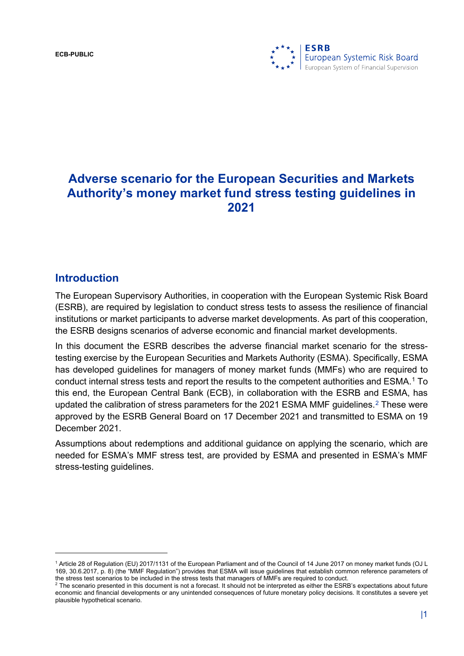**ECB-PUBLIC**



# **Adverse scenario for the European Securities and Markets Authority's money market fund stress testing guidelines in 2021**

#### **Introduction**

The European Supervisory Authorities, in cooperation with the European Systemic Risk Board (ESRB), are required by legislation to conduct stress tests to assess the resilience of financial institutions or market participants to adverse market developments. As part of this cooperation, the ESRB designs scenarios of adverse economic and financial market developments.

In this document the ESRB describes the adverse financial market scenario for the stresstesting exercise by the European Securities and Markets Authority (ESMA). Specifically, ESMA has developed guidelines for managers of money market funds (MMFs) who are required to conduct internal stress tests and report the results to the competent authorities and ESMA.[1](#page-0-0) To this end, the European Central Bank (ECB), in collaboration with the ESRB and ESMA, has updated the calibration of stress parameters for the [2](#page-0-1)021 ESMA MMF guidelines.<sup>2</sup> These were approved by the ESRB General Board on 17 December 2021 and transmitted to ESMA on 19 December 2021.

Assumptions about redemptions and additional guidance on applying the scenario, which are needed for ESMA's MMF stress test, are provided by ESMA and presented in ESMA's MMF stress-testing guidelines.

<span id="page-0-0"></span><sup>1</sup> Article 28 of Regulation (EU) 2017/1131 of the European Parliament and of the Council of 14 June 2017 on money market funds (OJ L 169, 30.6.2017, p. 8) (the "MMF Regulation") provides that ESMA will issue guidelines that establish common reference parameters of the stress test scenarios to be included in the stress tests that managers of MMFs are required to conduct.

<span id="page-0-1"></span><sup>2</sup> The scenario presented in this document is not a forecast. It should not be interpreted as either the ESRB's expectations about future economic and financial developments or any unintended consequences of future monetary policy decisions. It constitutes a severe yet plausible hypothetical scenario.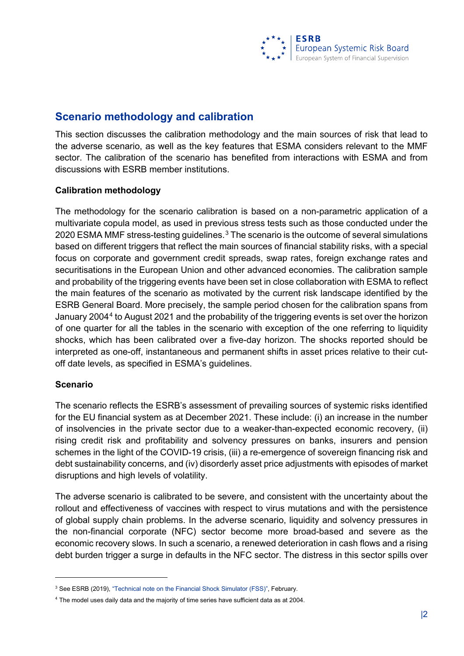### **Scenario methodology and calibration**

This section discusses the calibration methodology and the main sources of risk that lead to the adverse scenario, as well as the key features that ESMA considers relevant to the MMF sector. The calibration of the scenario has benefited from interactions with ESMA and from discussions with ESRB member institutions.

#### **Calibration methodology**

The methodology for the scenario calibration is based on a non-parametric application of a multivariate copula model, as used in previous stress tests such as those conducted under the 2020 ESMA MMF stress-testing guidelines.<sup>[3](#page-1-0)</sup> The scenario is the outcome of several simulations based on different triggers that reflect the main sources of financial stability risks, with a special focus on corporate and government credit spreads, swap rates, foreign exchange rates and securitisations in the European Union and other advanced economies. The calibration sample and probability of the triggering events have been set in close collaboration with ESMA to reflect the main features of the scenario as motivated by the current risk landscape identified by the ESRB General Board. More precisely, the sample period chosen for the calibration spans from January 2004[4](#page-1-1) to August 2021 and the probability of the triggering events is set over the horizon of one quarter for all the tables in the scenario with exception of the one referring to liquidity shocks, which has been calibrated over a five-day horizon. The shocks reported should be interpreted as one-off, instantaneous and permanent shifts in asset prices relative to their cutoff date levels, as specified in ESMA's guidelines.

#### **Scenario**

The scenario reflects the ESRB's assessment of prevailing sources of systemic risks identified for the EU financial system as at December 2021. These include: (i) an increase in the number of insolvencies in the private sector due to a weaker-than-expected economic recovery, (ii) rising credit risk and profitability and solvency pressures on banks, insurers and pension schemes in the light of the COVID-19 crisis, (iii) a re-emergence of sovereign financing risk and debt sustainability concerns, and (iv) disorderly asset price adjustments with episodes of market disruptions and high levels of volatility.

The adverse scenario is calibrated to be severe, and consistent with the uncertainty about the rollout and effectiveness of vaccines with respect to virus mutations and with the persistence of global supply chain problems. In the adverse scenario, liquidity and solvency pressures in the non-financial corporate (NFC) sector become more broad-based and severe as the economic recovery slows. In such a scenario, a renewed deterioration in cash flows and a rising debt burden trigger a surge in defaults in the NFC sector. The distress in this sector spills over

<span id="page-1-0"></span><sup>&</sup>lt;sup>3</sup> See ESRB (2019), "Technical note on the Financial Shock Simulator (FSS)", February.

<span id="page-1-1"></span><sup>4</sup> The model uses daily data and the majority of time series have sufficient data as at 2004.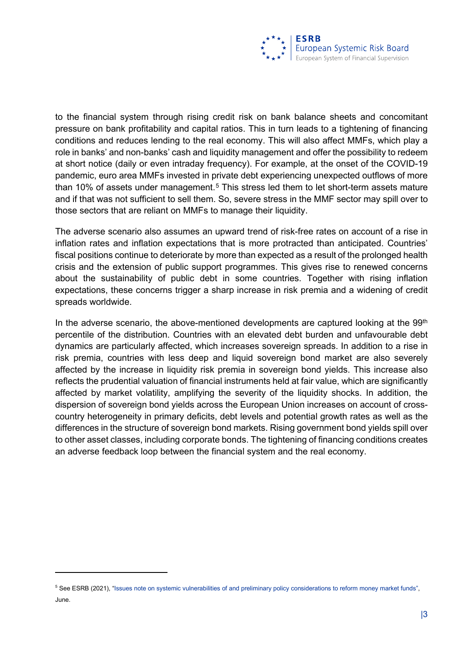to the financial system through rising credit risk on bank balance sheets and concomitant pressure on bank profitability and capital ratios. This in turn leads to a tightening of financing conditions and reduces lending to the real economy. This will also affect MMFs, which play a role in banks' and non-banks' cash and liquidity management and offer the possibility to redeem at short notice (daily or even intraday frequency). For example, at the onset of the COVID-19 pandemic, euro area MMFs invested in private debt experiencing unexpected outflows of more than 10% of assets under management.<sup>[5](#page-2-0)</sup> This stress led them to let short-term assets mature and if that was not sufficient to sell them. So, severe stress in the MMF sector may spill over to those sectors that are reliant on MMFs to manage their liquidity.

The adverse scenario also assumes an upward trend of risk-free rates on account of a rise in inflation rates and inflation expectations that is more protracted than anticipated. Countries' fiscal positions continue to deteriorate by more than expected as a result of the prolonged health crisis and the extension of public support programmes. This gives rise to renewed concerns about the sustainability of public debt in some countries. Together with rising inflation expectations, these concerns trigger a sharp increase in risk premia and a widening of credit spreads worldwide.

In the adverse scenario, the above-mentioned developments are captured looking at the  $99<sup>th</sup>$ percentile of the distribution. Countries with an elevated debt burden and unfavourable debt dynamics are particularly affected, which increases sovereign spreads. In addition to a rise in risk premia, countries with less deep and liquid sovereign bond market are also severely affected by the increase in liquidity risk premia in sovereign bond yields. This increase also reflects the prudential valuation of financial instruments held at fair value, which are significantly affected by market volatility, amplifying the severity of the liquidity shocks. In addition, the dispersion of sovereign bond yields across the European Union increases on account of crosscountry heterogeneity in primary deficits, debt levels and potential growth rates as well as the differences in the structure of sovereign bond markets. Rising government bond yields spill over to other asset classes, including corporate bonds. The tightening of financing conditions creates an adverse feedback loop between the financial system and the real economy.

<span id="page-2-0"></span><sup>&</sup>lt;sup>5</sup> See ESRB (2021), ["Issues note on systemic vulnerabilities of and preliminary policy considerations to reform money market funds"](https://www.esrb.europa.eu/pub/pdf/reports/esrb.report.210701_Issues_note_on_systemic_vulnerabilities%7Edb0345a618.en.pdf?2dd3042e73ba181b920937e136440f94). June.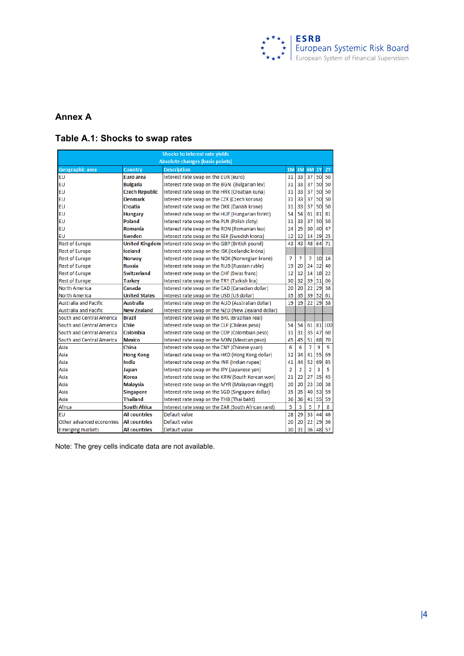

#### **Annex A**

#### **Table A.1: Shocks to swap rates**

| <b>Shocks to interest rate yields</b>  |                       |                                                    |                |                |                |           |     |
|----------------------------------------|-----------------------|----------------------------------------------------|----------------|----------------|----------------|-----------|-----|
| <b>Absolute changes (basis points)</b> |                       |                                                    |                |                |                |           |     |
| <b>Geographic area</b>                 | Country               | <b>Description</b>                                 | 1 <sub>M</sub> | 3M             | 6M             | <b>1Y</b> | 2Y  |
| EU                                     | <b>Euro</b> area      | Interest rate swap on the EUR (euro)               | 31             | 33             | 37             | 50        | 50  |
| EU                                     | Bulgaria              | Interest rate swap on the BGN (Bulgarian lev)      | 31             | 33             | 37             | 50        | 50  |
| EU                                     | <b>Czech Republic</b> | Interest rate swap on the HRK (Croatian kuna)      | 31             | 33             | 37             | 50        | 50  |
| EU                                     | <b>Denmark</b>        | Interest rate swap on the CZK (Czech koruna)       | 31             | 33             | 37             | 50        | 50  |
| EU                                     | Croatia               | Interest rate swap on the DKK (Danish krone)       | 31             | 33             | 37             | 50        | 50  |
| EU                                     | <b>Hungary</b>        | Interest rate swap on the HUF (Hungarian forint)   | 54             | 54             | 61             | 81        | 81  |
| EU                                     | Poland                | Interest rate swap on the PLN (Polish zloty)       | 31             | 33             | 37             | 50        | 50  |
| EU                                     | Romania               | Interest rate swap on the RON (Romanian leu)       | 24             | 25             | 30             | 40        | 47  |
| EU                                     | Sweden                | Interest rate swap on the SEK (Swedish krona)      | 12             | 12             | 14             | 19        | 25  |
| <b>Rest of Europe</b>                  | <b>United Kingdom</b> | Interest rate swap on the GBP (British pound)      | 43             | 43             | 48             | 64        | 71  |
| <b>Rest of Europe</b>                  | <b>Iceland</b>        | Interest rate swap on the ISK (Icelandic króna)    |                |                |                |           |     |
| <b>Rest of Europe</b>                  | <b>Norway</b>         | Interest rate swap on the NOK (Norwegian krone)    | 7              | 7              | 7              | 10        | 16  |
| <b>Rest of Europe</b>                  | <b>Russia</b>         | Interest rate swap on the RUB (Russian ruble)      | 19             | 20             | 24             | 32        | 40  |
| <b>Rest of Europe</b>                  | <b>Switzerland</b>    | Interest rate swap on the CHF (Swiss franc)        | 12             | 12             | 14             | 18        | 22  |
| <b>Rest of Europe</b>                  | Turkey                | Interest rate swap on the TRY (Turkish lira)       | 30             | 32             | 39             | 51        | 66  |
| North America                          | Canada                | Interest rate swap on the CAD (Canadian dollar)    | 20             | 20             | 22             | 29        | 38  |
| North America                          | <b>United States</b>  | Interest rate swap on the USD (US dollar)          | 35             | 35             | 39             | 52        | 61  |
| <b>Australia and Pacific</b>           | <b>Australia</b>      | Interest rate swap on the AUD (Australian dollar)  | 19             | 19             | 22             | 29        | 38  |
| <b>Australia and Pacific</b>           | <b>New Zealand</b>    | Interest rate swap on the NZD (New Zealand dollar) |                |                |                |           |     |
| South and Central America              | Brazil                | Interest rate swap on the BRL (Brazilian real)     |                |                |                |           |     |
| South and Central America              | Chile                 | Interest rate swap on the CLP (Chilean peso)       | 54             | 54             | 61             | 81        | 100 |
| South and Central America              | Colombia              | Interest rate swap on the COP (Colombian peso)     | 31             | 31             | 35             | 47        | 60  |
| South and Central America              | Mexico                | Interest rate swap on the MXN (Mexican peso)       | 45             | 45             | 51             | 68        | 70  |
| Asia                                   | China                 | Interest rate swap on the CNY (Chinese yuan)       | 6              | 6              | $\overline{7}$ | 9         | 9   |
| Asia                                   | <b>Hong Kong</b>      | Interest rate swap on the HKD (Hong Kong dollar)   | 32             | 34             | 41             | 55        | 69  |
| Asia                                   | India                 | Interest rate swap on the INR (Indian rupee)       | 41             | 44             | 52             | 69        | 85  |
| Asia                                   | Japan                 | Interest rate swap on the JPY (Japanese yen)       | $\overline{2}$ | $\overline{2}$ | $\overline{2}$ | 3         | 5   |
| Asia                                   | <b>Korea</b>          | Interest rate swap on the KRW (South Korean won)   | 21             | 22             | 27             | 35        | 45  |
| Asia                                   | <b>Malaysia</b>       | Interest rate swap on the MYR (Malaysian ringgit)  | 20             | 20             | 23             | 30        | 38  |
| Asia                                   | <b>Singapore</b>      | Interest rate swap on the SGD (Singapore dollar)   | 35             | 35             | 40             | 53        | 59  |
| Asia                                   | <b>Thailand</b>       | Interest rate swap on the THB (Thai baht)          | 36             | 36             | 41             | 55        | 59  |
| Africa                                 | South Africa          | Interest rate swap on the ZAR (South African rand) | 5              | 5              | 5              | 7         | 8   |
| EU                                     | <b>All countries</b>  | Default value                                      | 28             | 29             | 33             | 44        | 46  |
| Other advanced economies               | All countries         | Default value                                      | 20             | 20             | 22             | 29        | 36  |
| <b>Emerging markets</b>                | All countries         | Default value                                      | 30             | 31             | 36             | 48        | 57  |

Note: The grey cells indicate data are not available.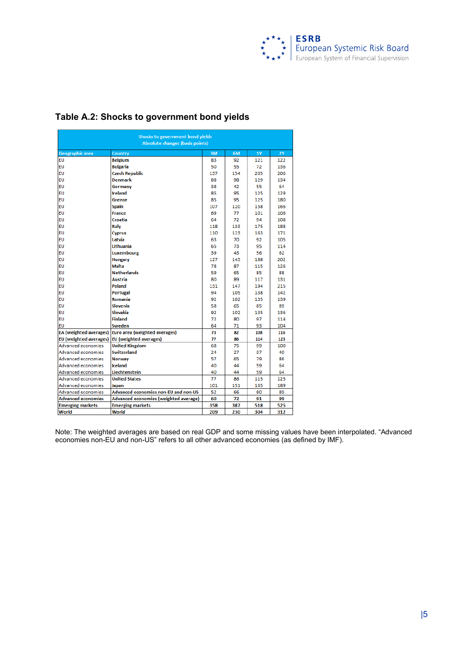

| Shocks to government bond yields<br><b>Absolute changes (basis points)</b> |                                       |     |     |           |           |
|----------------------------------------------------------------------------|---------------------------------------|-----|-----|-----------|-----------|
| Geographic area                                                            | Country                               | 3M  | 6M  | <b>1Y</b> | <b>2Y</b> |
| EU                                                                         | <b>Belgium</b>                        | 83  | 92  | 121       | 122       |
| EU                                                                         | <b>Bulgaria</b>                       | 50  | 55  | 72        | 136       |
| <b>EU</b>                                                                  | <b>Czech Republic</b>                 | 137 | 154 | 205       | 206       |
| <b>EU</b>                                                                  | <b>Denmark</b>                        | 88  | 98  | 129       | 134       |
| <b>EU</b>                                                                  | Germany                               | 38  | 42  | 55        | 64        |
| <b>EU</b>                                                                  | <b>Ireland</b>                        | 85  | 95  | 125       | 129       |
| <b>EU</b>                                                                  | Greece                                | 85  | 95  | 125       | 180       |
| <b>EU</b>                                                                  | <b>Spain</b>                          | 107 | 120 | 158       | 166       |
| <b>EU</b>                                                                  | France                                | 69  | 77  | 101       | 106       |
| <b>EU</b>                                                                  | Croatia                               | 64  | 72  | 94        | 108       |
| <b>EU</b>                                                                  | <b>Italy</b>                          | 118 | 133 | 175       | 188       |
| <b>EU</b>                                                                  | <b>Cyprus</b>                         | 110 | 123 | 163       | 171       |
| <b>EU</b>                                                                  | Latvia                                | 63  | 70  | 92        | 105       |
| <b>EU</b>                                                                  | I ithuania.                           | 65  | 73  | 95        | 114       |
| <b>EU</b>                                                                  | Luxembourg                            | 39  | 43  | 56        | 62        |
| <b>EU</b>                                                                  | <b>Hungary</b>                        | 127 | 143 | 188       | 202       |
| <b>EU</b>                                                                  | <b>Malta</b>                          | 78  | 87  | 115       | 126       |
| <b>EU</b>                                                                  | <b>Netherlands</b>                    | 59  | 65  | 85        | 88        |
| <b>EU</b>                                                                  | Austria                               | 80  | 89  | 117       | 131       |
| <b>EU</b>                                                                  | Poland                                | 131 | 147 | 194       | 215       |
| <b>EU</b>                                                                  | <b>Portugal</b>                       | 94  | 105 | 138       | 142       |
| <b>EU</b>                                                                  | Romania                               | 92  | 102 | 135       | 139       |
| <b>EU</b>                                                                  | Slovenia                              | 58  | 65  | 85        | 89        |
| <b>EU</b>                                                                  | Slovakia                              | 92  | 102 | 135       | 136       |
| EU                                                                         | <b>Finland</b>                        | 72  | 80  | 97        | 114       |
| <b>EU</b>                                                                  | Sweden                                | 64  | 71  | 93        | 104       |
| <b>EA</b> (weighted averages)                                              | Euro area (weighted averages)         | 73  | 82  | 108       | 116       |
| <b>EU</b> (weighted averages)                                              | EU (weighted averages)                | 77  | 86  | 114       | 123       |
| Advanced economies                                                         | <b>United Kingdom</b>                 | 68  | 75  | 99        | 100       |
| <b>Advanced economies</b>                                                  | <b>Switzerland</b>                    | 24  | 27  | 37        | 40        |
| Advanced economies                                                         | <b>Norway</b>                         | 57  | 65  | 79        | 86        |
| Advanced economies                                                         | <b>Iceland</b>                        | 40  | 44  | 59        | 64        |
| Advanced economies                                                         | Liechtenstein                         | 40  | 44  | 59        | 64        |
| Advanced economies                                                         | <b>United States</b>                  | 77  | 86  | 115       | 125       |
| Advanced economies                                                         | Japan                                 | 101 | 151 | 165       | 189       |
| Advanced economies                                                         | Advanced economies non-EU and non-US  | 52  | 66  | 80        | 89        |
| <b>Advanced economies</b>                                                  | Advanced economies (weighted average) | 60  | 72  | 91        | 99        |
| <b>Emerging markets</b>                                                    | <b>Emerging markets</b>               | 358 | 387 | 518       | 525       |
| World                                                                      | World                                 | 209 | 230 | 304       | 312       |

#### **Table A.2: Shocks to government bond yields**

Note: The weighted averages are based on real GDP and some missing values have been interpolated. "Advanced economies non-EU and non-US" refers to all other advanced economies (as defined by IMF).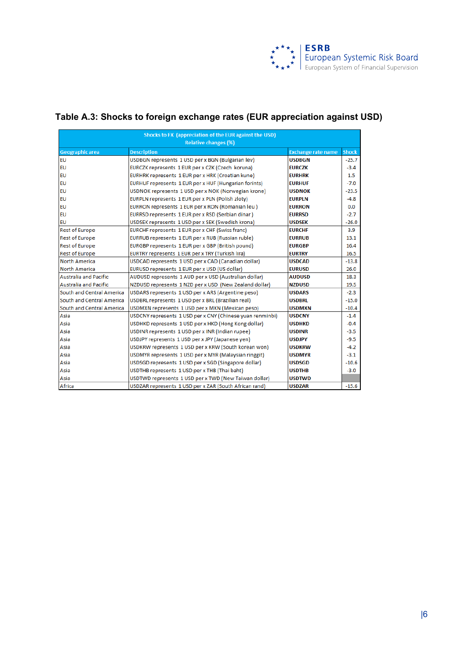

# **Table A.3: Shocks to foreign exchange rates (EUR appreciation against USD)**

| Shocks to FX (appreciation of the EUR against the USD)<br><b>Relative changes (%)</b> |                                                           |                           |              |  |  |
|---------------------------------------------------------------------------------------|-----------------------------------------------------------|---------------------------|--------------|--|--|
| <b>Geographic area</b>                                                                | <b>Description</b>                                        | <b>Exchange rate name</b> | <b>Shock</b> |  |  |
| EU                                                                                    | USDBGN represents 1 USD per x BGN (Bulgarian lev)         | <b>USDBGN</b>             | $-25.7$      |  |  |
| EU                                                                                    | EURCZK represents 1 EUR per x CZK (Czech koruna)          | <b>EURCZK</b>             | $-3.4$       |  |  |
| EU                                                                                    | EURHRK represents 1 EUR per x HRK (Croatian kune)         | <b>EURHRK</b>             | 1.5          |  |  |
| EU                                                                                    | EURHUF represents 1 EUR per x HUF (Hungarian forints)     | <b>EURHUF</b>             | $-7.0$       |  |  |
| EU                                                                                    | USDNOK represents 1 USD per x NOK (Norwegian krone)       | <b>USDNOK</b>             | $-23.5$      |  |  |
| EU                                                                                    | EURPLN represents 1 EUR per x PLN (Polish zloty)          | <b>EURPLN</b>             | $-4.8$       |  |  |
| EU                                                                                    | EURRON represents 1 EUR per x RON (Romanian leu)          | <b>EURRON</b>             | 0.0          |  |  |
| EU                                                                                    | EURRSD represents 1 EUR per x RSD (Serbian dinar)         | <b>EURRSD</b>             | $-2.7$       |  |  |
| EU                                                                                    | USDSEK represents 1 USD per x SEK (Swedish krona)         | <b>USDSEK</b>             | $-26.0$      |  |  |
| <b>Rest of Europe</b>                                                                 | EURCHF represents 1 EUR per x CHF (Swiss franc)           | <b>EURCHF</b>             | 3.9          |  |  |
| <b>Rest of Europe</b>                                                                 | EURRUB represents 1 EUR per x RUB (Russian ruble)         | <b>EURRUB</b>             | 13.1         |  |  |
| <b>Rest of Europe</b>                                                                 | EURGBP represents 1 EUR per x GBP (British pound)         | <b>EURGBP</b>             | 16.4         |  |  |
| <b>Rest of Europe</b>                                                                 | EURTRY represents 1 EUR per x TRY (Turkish lira)          | <b>EURTRY</b>             | 16.5         |  |  |
| <b>North America</b>                                                                  | USDCAD represents 1 USD per x CAD (Canadian dollar)       | <b>USDCAD</b>             | $-13.8$      |  |  |
| <b>North America</b>                                                                  | EURUSD represents 1 EUR per x USD (US dollar)             | <b>EURUSD</b>             | 26.0         |  |  |
| <b>Australia and Pacific</b>                                                          | AUDUSD represents 1 AUD per x USD (Australian dollar)     | <b>AUDUSD</b>             | 18.3         |  |  |
| <b>Australia and Pacific</b>                                                          | NZDUSD represents 1 NZD per x USD (New Zealand dollar)    | <b>NZDUSD</b>             | 19.5         |  |  |
| South and Central America                                                             | USDARS represents 1 USD per x ARS (Argentine peso)        | <b>USDARS</b>             | $-2.3$       |  |  |
| South and Central America                                                             | USDBRL represents 1 USD per x BRL (Brazilian real)        | <b>USDBRL</b>             | $-15.0$      |  |  |
| South and Central America                                                             | USDMXN represents 1 USD per x MXN (Mexican peso)          | <b>USDMXN</b>             | $-10.4$      |  |  |
| Asia                                                                                  | USDCNY represents 1 USD per x CNY (Chinese yuan renminbi) | <b>USDCNY</b>             | $-1.4$       |  |  |
| Asia                                                                                  | USDHKD represents 1 USD per x HKD (Hong Kong dollar)      | <b>USDHKD</b>             | $-0.4$       |  |  |
| Asia                                                                                  | USDINR represents 1 USD per x INR (Indian rupee)          | <b>USDINR</b>             | $-3.5$       |  |  |
| Asia                                                                                  | USDJPY represents 1 USD per x JPY (Japanese yen)          | USDJPY                    | $-9.5$       |  |  |
| Asia                                                                                  | USDKRW represents 1 USD per x KRW (South korean won)      | <b>USDKRW</b>             | $-4.2$       |  |  |
| Asia                                                                                  | USDMYR represents 1 USD per x MYR (Malaysian ringgit)     | <b>USDMYR</b>             | $-3.1$       |  |  |
| Asia                                                                                  | USDSGD represents 1 USD per x SGD (Singapore dollar)      | <b>USDSGD</b>             | $-10.6$      |  |  |
| Asia                                                                                  | USDTHB represents 1 USD per x THB (Thai baht)             | <b>USDTHB</b>             | $-3.0$       |  |  |
| Asia                                                                                  | USDTWD represents 1 USD per x TWD (New Taiwan dollar)     | <b>USDTWD</b>             |              |  |  |
| Africa                                                                                | USDZAR represents 1 USD per x ZAR (South African rand)    | <b>USDZAR</b>             | $-15.6$      |  |  |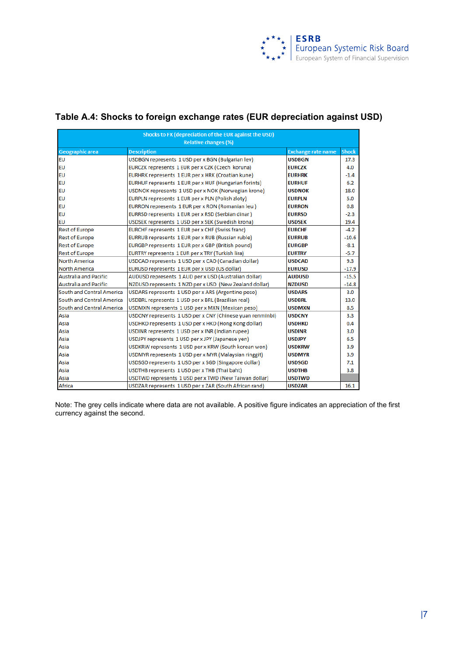

### **Table A.4: Shocks to foreign exchange rates (EUR depreciation against USD)**

| Shocks to FX (depreciation of the EUR against the USD)<br><b>Relative changes (%)</b> |                                                           |                           |              |  |  |
|---------------------------------------------------------------------------------------|-----------------------------------------------------------|---------------------------|--------------|--|--|
| <b>Geographic area</b>                                                                | <b>Description</b>                                        | <b>Exchange rate name</b> | <b>Shock</b> |  |  |
| <b>EU</b>                                                                             | USDBGN represents 1 USD per x BGN (Bulgarian lev)         | <b>USDBGN</b>             | 17.3         |  |  |
| <b>EU</b>                                                                             | EURCZK represents 1 EUR per x CZK (Czech koruna)          | <b>EURCZK</b>             | 4.0          |  |  |
| EU                                                                                    | EURHRK represents 1 EUR per x HRK (Croatian kune)         | <b>EURHRK</b>             | $-1.4$       |  |  |
| EU                                                                                    | EURHUF represents 1 EUR per x HUF (Hungarian forints)     | <b>EURHUF</b>             | 6.2          |  |  |
| <b>EU</b>                                                                             | USDNOK represents 1 USD per x NOK (Norwegian krone)       | <b>USDNOK</b>             | 18.0         |  |  |
| <b>EU</b>                                                                             | EURPLN represents 1 EUR per x PLN (Polish zloty)          | <b>EURPLN</b>             | 5.0          |  |  |
| EU                                                                                    | EURRON represents 1 EUR per x RON (Romanian leu)          | <b>EURRON</b>             | 0.8          |  |  |
| EU                                                                                    | EURRSD represents 1 EUR per x RSD (Serbian dinar)         | <b>EURRSD</b>             | $-2.3$       |  |  |
| <b>EU</b>                                                                             | USDSEK represents 1 USD per x SEK (Swedish krona)         | <b>USDSEK</b>             | 19.4         |  |  |
| <b>Rest of Europe</b>                                                                 | EURCHF represents 1 EUR per x CHF (Swiss franc)           | <b>EURCHF</b>             | $-4.2$       |  |  |
| <b>Rest of Europe</b>                                                                 | EURRUB represents 1 EUR per x RUB (Russian ruble)         | <b>EURRUB</b>             | $-10.6$      |  |  |
| <b>Rest of Europe</b>                                                                 | EURGBP represents 1 EUR per x GBP (British pound)         | <b>EURGBP</b>             | $-8.1$       |  |  |
| <b>Rest of Europe</b>                                                                 | EURTRY represents 1 EUR per x TRY (Turkish lira)          | <b>EURTRY</b>             | -5.7         |  |  |
| <b>North America</b>                                                                  | USDCAD represents 1 USD per x CAD (Canadian dollar)       | <b>USDCAD</b>             | 9.3          |  |  |
| <b>North America</b>                                                                  | EURUSD represents 1 EUR per x USD (US dollar)             | <b>EURUSD</b>             | $-17.9$      |  |  |
| <b>Australia and Pacific</b>                                                          | AUDUSD represents 1 AUD per x USD (Australian dollar)     | <b>AUDUSD</b>             | $-15.5$      |  |  |
| <b>Australia and Pacific</b>                                                          | NZDUSD represents 1 NZD per x USD (New Zealand dollar)    | <b>NZDUSD</b>             | $-14.8$      |  |  |
| South and Central America                                                             | USDARS represents 1 USD per x ARS (Argentine peso)        | <b>USDARS</b>             | 3.0          |  |  |
| South and Central America                                                             | USDBRL represents 1 USD per x BRL (Brazilian real)        | <b>USDBRL</b>             | 13.0         |  |  |
| South and Central America                                                             | USDMXN represents 1 USD per x MXN (Mexican peso)          | <b>USDMXN</b>             | 8.5          |  |  |
| Asia                                                                                  | USDCNY represents 1 USD per x CNY (Chinese yuan renminbi) | <b>USDCNY</b>             | 3.3          |  |  |
| Asia                                                                                  | USDHKD represents 1 USD per x HKD (Hong Kong dollar)      | <b>USDHKD</b>             | 0.4          |  |  |
| Asia                                                                                  | USDINR represents 1 USD per x INR (Indian rupee)          | <b>USDINR</b>             | 3.0          |  |  |
| Asia                                                                                  | USDJPY represents 1 USD per x JPY (Japanese yen)          | <b>USDJPY</b>             | 6.5          |  |  |
| Asia                                                                                  | USDKRW represents 1 USD per x KRW (South korean won)      | <b>USDKRW</b>             | 3.9          |  |  |
| Asia                                                                                  | USDMYR represents 1 USD per x MYR (Malaysian ringgit)     | <b>USDMYR</b>             | 3.9          |  |  |
| Asia                                                                                  | USDSGD represents 1 USD per x SGD (Singapore dollar)      | <b>USDSGD</b>             | 7.1          |  |  |
| Asia                                                                                  | USDTHB represents 1 USD per x THB (Thai baht)             | <b>USDTHB</b>             | 3.8          |  |  |
| Asia                                                                                  | USDTWD represents 1 USD per x TWD (New Taiwan dollar)     | <b>USDTWD</b>             |              |  |  |
| Africa                                                                                | USDZAR represents 1 USD per x ZAR (South African rand)    | <b>USDZAR</b>             | 16.1         |  |  |

Note: The grey cells indicate where data are not available. A positive figure indicates an appreciation of the first currency against the second.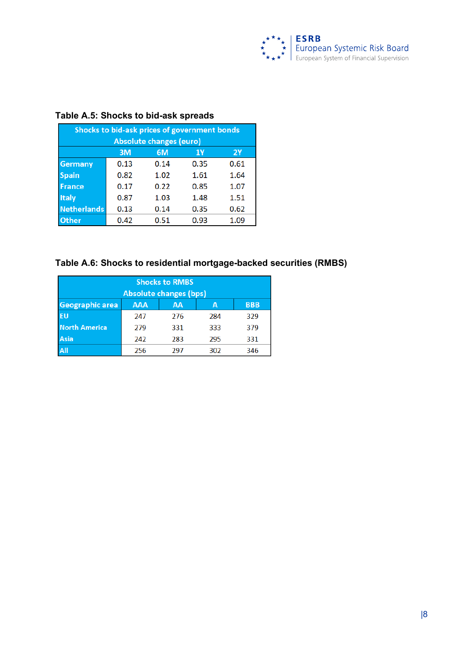

| Shocks to bid-ask prices of government bonds<br><b>Absolute changes (euro)</b> |      |      |      |           |  |
|--------------------------------------------------------------------------------|------|------|------|-----------|--|
|                                                                                | 3M   | 6M   | 1Y   | <b>2Y</b> |  |
| <b>Germany</b>                                                                 | 0.13 | 0.14 | 0.35 | 0.61      |  |
| <b>Spain</b>                                                                   | 0.82 | 1.02 | 1.61 | 1.64      |  |
| <b>France</b>                                                                  | 0.17 | 0.22 | 0.85 | 1.07      |  |
| <b>Italy</b>                                                                   | 0.87 | 1.03 | 1.48 | 1.51      |  |
| <b>Netherlands</b>                                                             | 0.13 | 0.14 | 0.35 | 0.62      |  |
| Other                                                                          | 0.42 | 0.51 | 0.93 | 1.09      |  |

#### **Table A.5: Shocks to bid-ask spreads**

# **Table A.6: Shocks to residential mortgage-backed securities (RMBS)**

| <b>Shocks to RMBS</b>         |            |     |     |            |  |  |
|-------------------------------|------------|-----|-----|------------|--|--|
| <b>Absolute changes (bps)</b> |            |     |     |            |  |  |
| Geographic area               | <b>AAA</b> | AA  | А   | <b>BBB</b> |  |  |
| <b>EU</b>                     | 247        | 276 | 284 | 329        |  |  |
| <b>North America</b>          | 279        | 331 | 333 | 379        |  |  |
| Asia                          | 242        | 283 | 295 | 331        |  |  |
| All                           | 256        | 297 | 302 | 346        |  |  |